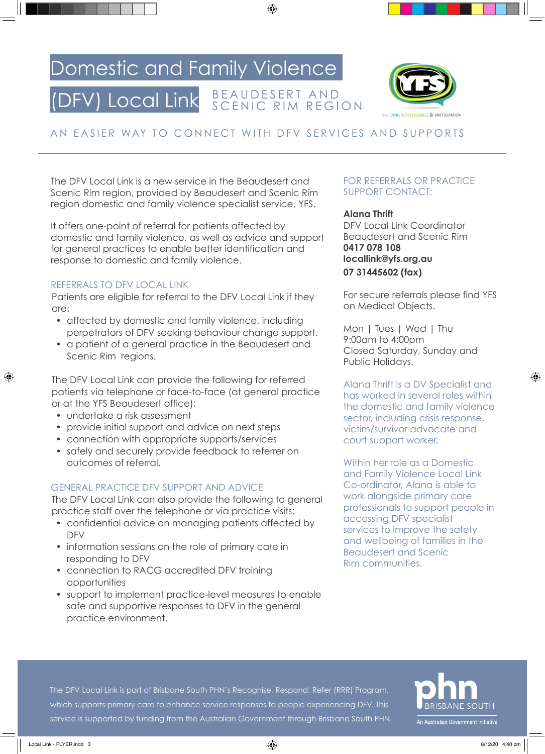## Domestic and Family Violence

#### (DFV) Local Link B E A U D E S E R T A N D SCENIC RIM REGION



### AN EASIER WAY TO CONNECT WITH DFV SERVICES AND SUPPORTS

The DFV Local Link is a new service in the Beaudesert and Scenic Rim region, provided by Beaudesert and Scenic Rim region domestic and family violence specialist service, YFS.

It offers one-point of referral for patients affected by domestic and family violence, as well as advice and support for general practices to enable better identification and response to domestic and family violence.

#### REFERRALS TO DFV LOCAL LINK

Patients are eligible for referral to the DFV Local Link if they are:

- affected by domestic and family violence, including perpetrators of DFV seeking behaviour change support.
- a patient of a general practice in the Beaudesert and Scenic Rim regions.

The DFV Local Link can provide the following for referred patients via telephone or face-to-face (at general practice or at the YFS Beaudesert office):

- undertake a risk assessment
- provide initial support and advice on next steps
- connection with appropriate supports/services
- safely and securely provide feedback to referrer on outcomes of referral.

#### GENERAL PRACTICE DFV SUPPORT AND ADVICE

The DFV Local Link can also provide the following to general practice staff over the telephone or via practice visits:

- confidential advice on managing patients affected by DFV
- information sessions on the role of primary care in responding to DFV
- connection to RACG accredited DFV training opportunities
- support to implement practice-level measures to enable safe and supportive responses to DFV in the general practice environment.

#### FOR REFERRALS OR PRACTICE SUPPORT CONTACT:

**Alana Thrift**

DFV Local Link Coordinator Beaudesert and Scenic Rim **0417 078 108 locallink@yfs.org.au 07 31445602 (fax)**

For secure referrals please find YFS on Medical Objects.

Mon | Tues | Wed | Thu 9:00am to 4:00pm Closed Saturday, Sunday and Public Holidays.

Alana Thrift is a DV Specialist and has worked in several roles within the domestic and family violence sector, including crisis response, victim/survivor advocate and court support worker.

Within her role as a Domestic and Family Violence Local Link Co-ordinator, Alana is able to work alongside primary care professionals to support people in accessing DFV specialist services to improve the safety and wellbeing of families in the Beaudesert and Scenic Rim communities.

The DFV Local Link is part of Brisbane South PHN's Recognise, Respond, Refer (RRR) Program, which supports primary care to enhance service responses to people experiencing DFV. This service is supported by funding from the Australian Government through Brisbane South PHN.